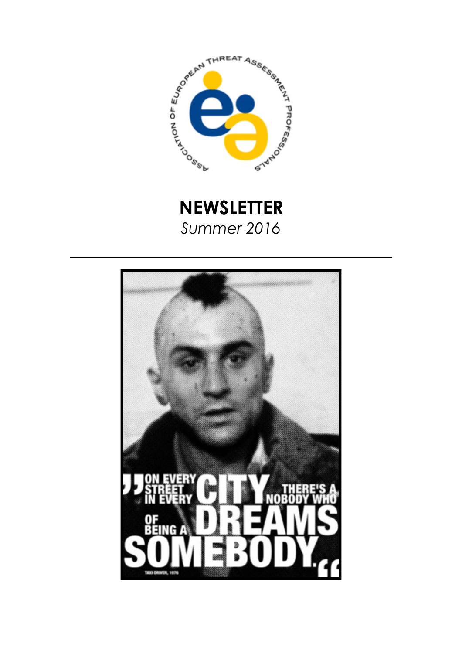



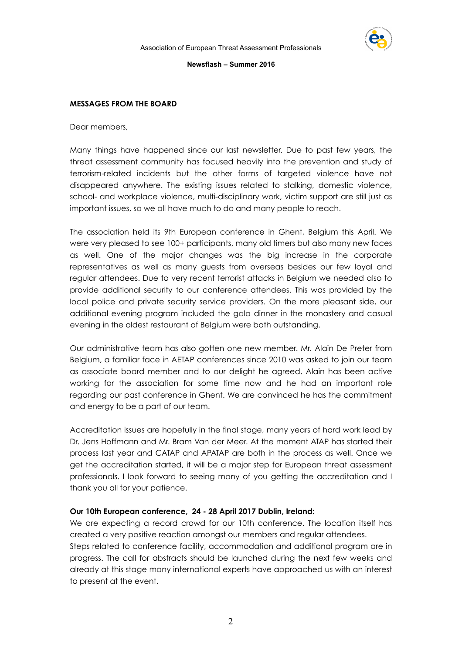

#### **MESSAGES FROM THE BOARD**

Dear members,

Many things have happened since our last newsletter. Due to past few years, the threat assessment community has focused heavily into the prevention and study of terrorism-related incidents but the other forms of targeted violence have not disappeared anywhere. The existing issues related to stalking, domestic violence, school- and workplace violence, multi-disciplinary work, victim support are still just as important issues, so we all have much to do and many people to reach.

The association held its 9th European conference in Ghent, Belgium this April. We were very pleased to see 100+ participants, many old timers but also many new faces as well. One of the major changes was the big increase in the corporate representatives as well as many guests from overseas besides our few loyal and regular attendees. Due to very recent terrorist attacks in Belgium we needed also to provide additional security to our conference attendees. This was provided by the local police and private security service providers. On the more pleasant side, our additional evening program included the gala dinner in the monastery and casual evening in the oldest restaurant of Belgium were both outstanding.

Our administrative team has also gotten one new member. Mr. Alain De Preter from Belgium, a familiar face in AETAP conferences since 2010 was asked to join our team as associate board member and to our delight he agreed. Alain has been active working for the association for some time now and he had an important role regarding our past conference in Ghent. We are convinced he has the commitment and energy to be a part of our team.

Accreditation issues are hopefully in the final stage, many years of hard work lead by Dr. Jens Hoffmann and Mr. Bram Van der Meer. At the moment ATAP has started their process last year and CATAP and APATAP are both in the process as well. Once we get the accreditation started, it will be a major step for European threat assessment professionals. I look forward to seeing many of you getting the accreditation and I thank you all for your patience.

#### **Our 10th European conference, 24 - 28 April 2017 Dublin, Ireland:**

We are expecting a record crowd for our 10th conference. The location itself has created a very positive reaction amongst our members and regular attendees. Steps related to conference facility, accommodation and additional program are in progress. The call for abstracts should be launched during the next few weeks and already at this stage many international experts have approached us with an interest to present at the event.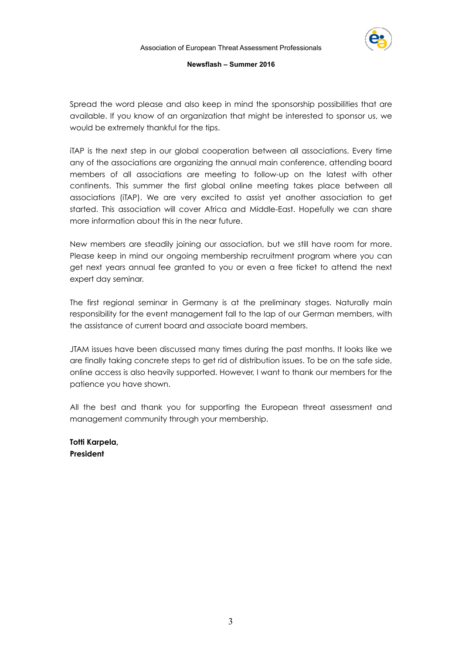

Spread the word please and also keep in mind the sponsorship possibilities that are available. If you know of an organization that might be interested to sponsor us, we would be extremely thankful for the tips.

iTAP is the next step in our global cooperation between all associations. Every time any of the associations are organizing the annual main conference, attending board members of all associations are meeting to follow-up on the latest with other continents. This summer the first global online meeting takes place between all associations (iTAP). We are very excited to assist yet another association to get started. This association will cover Africa and Middle-East. Hopefully we can share more information about this in the near future.

New members are steadily joining our association, but we still have room for more. Please keep in mind our ongoing membership recruitment program where you can get next years annual fee granted to you or even a free ticket to attend the next expert day seminar.

The first regional seminar in Germany is at the preliminary stages. Naturally main responsibility for the event management fall to the lap of our German members, with the assistance of current board and associate board members.

JTAM issues have been discussed many times during the past months. It looks like we are finally taking concrete steps to get rid of distribution issues. To be on the safe side, online access is also heavily supported. However, I want to thank our members for the patience you have shown.

All the best and thank you for supporting the European threat assessment and management community through your membership.

**Totti Karpela, President**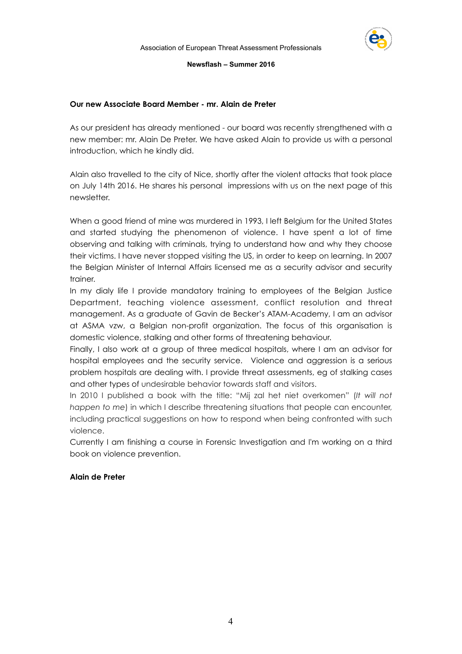

## **Our new Associate Board Member - mr. Alain de Preter**

As our president has already mentioned - our board was recently strengthened with a new member: mr. Alain De Preter. We have asked Alain to provide us with a personal introduction, which he kindly did.

Alain also travelled to the city of Nice, shortly after the violent attacks that took place on July 14th 2016. He shares his personal impressions with us on the next page of this newsletter.

When a good friend of mine was murdered in 1993, I left Belgium for the United States and started studying the phenomenon of violence. I have spent a lot of time observing and talking with criminals, trying to understand how and why they choose their victims. I have never stopped visiting the US, in order to keep on learning. In 2007 the Belgian Minister of Internal Affairs licensed me as a security advisor and security trainer.

In my dialy life I provide mandatory training to employees of the Belgian Justice Department, teaching violence assessment, conflict resolution and threat management. As a graduate of Gavin de Becker's ATAM-Academy, I am an advisor at ASMA vzw, a Belgian non-profit organization. The focus of this organisation is domestic violence, stalking and other forms of threatening behaviour.

Finally, I also work at a group of three medical hospitals, where I am an advisor for hospital employees and the security service. Violence and aggression is a serious problem hospitals are dealing with. I provide threat assessments, eg of stalking cases and other types of undesirable behavior towards staff and visitors.

In 2010 I published a book with the title: "Mij zal het niet overkomen" (*It will not happen to me*) in which I describe threatening situations that people can encounter, including practical suggestions on how to respond when being confronted with such violence.

Currently I am finishing a course in Forensic Investigation and I'm working on a third book on violence prevention.

## **Alain de Preter**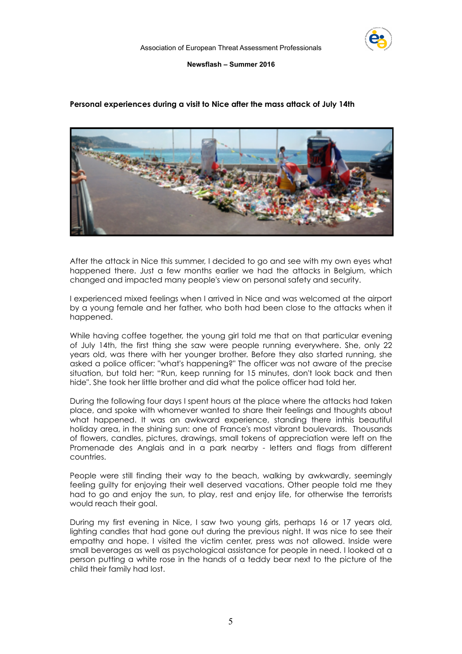

#### **Personal experiences during a visit to Nice after the mass attack of July 14th**



After the attack in Nice this summer, I decided to go and see with my own eyes what happened there. Just a few months earlier we had the attacks in Belgium, which changed and impacted many people's view on personal safety and security.

I experienced mixed feelings when I arrived in Nice and was welcomed at the airport by a young female and her father, who both had been close to the attacks when it happened.

While having coffee together, the young girl told me that on that particular evening of July 14th, the first thing she saw were people running everywhere. She, only 22 years old, was there with her younger brother. Before they also started running, she asked a police officer: "what's happening?" The officer was not aware of the precise situation, but told her: "Run, keep running for 15 minutes, don't look back and then hide". She took her little brother and did what the police officer had told her.

During the following four days I spent hours at the place where the attacks had taken place, and spoke with whomever wanted to share their feelings and thoughts about what happened. It was an awkward experience, standing there inthis beautiful holiday area, in the shining sun: one of France's most vibrant boulevards. Thousands of flowers, candles, pictures, drawings, small tokens of appreciation were left on the Promenade des Anglais and in a park nearby - letters and flags from different countries.

People were still finding their way to the beach, walking by awkwardly, seemingly feeling guilty for enjoying their well deserved vacations. Other people told me they had to go and enjoy the sun, to play, rest and enjoy life, for otherwise the terrorists would reach their goal.

During my first evening in Nice, I saw two young girls, perhaps 16 or 17 years old, lighting candles that had gone out during the previous night. It was nice to see their empathy and hope. I visited the victim center, press was not allowed. Inside were small beverages as well as psychological assistance for people in need. I looked at a person putting a white rose in the hands of a teddy bear next to the picture of the child their family had lost.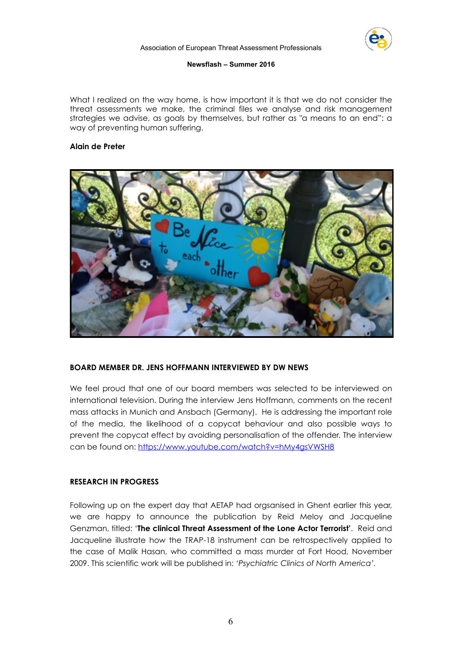

What I realized on the way home, is how important it is that we do not consider the threat assessments we make, the criminal files we analyse and risk management strategies we advise, as goals by themselves, but rather as "a means to an end": a way of preventing human suffering.

## **Alain de Preter**



## **BOARD MEMBER DR. JENS HOFFMANN INTERVIEWED BY DW NEWS**

We feel proud that one of our board members was selected to be interviewed on international television. During the interview Jens Hoffmann, comments on the recent mass attacks in Munich and Ansbach (Germany). He is addressing the important role of the media, the likelihood of a copycat behaviour and also possible ways to prevent the copycat effect by avoiding personalisation of the offender. The interview can be found on: <https://www.youtube.com/watch?v=hMy4gsVWSH8>

## **RESEARCH IN PROGRESS**

Following up on the expert day that AETAP had orgsanised in Ghent earlier this year, we are happy to announce the publication by Reid Meloy and Jacqueline Genzman, titled: '**The clinical Threat Assessment of the Lone Actor Terrorist'**. Reid and Jacqueline illustrate how the TRAP-18 instrument can be retrospectively applied to the case of Malik Hasan, who committed a mass murder at Fort Hood, November 2009. This scientific work will be published in: *'Psychiatric Clinics of North America'.*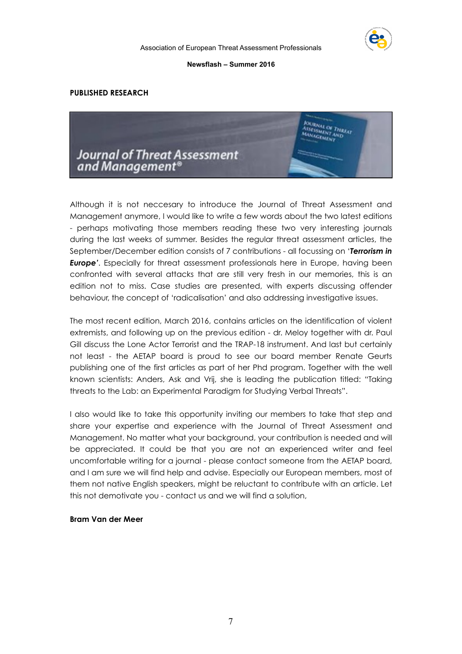

#### **PUBLISHED RESEARCH**



Although it is not neccesary to introduce the Journal of Threat Assessment and Management anymore, I would like to write a few words about the two latest editions - perhaps motivating those members reading these two very interesting journals during the last weeks of summer. Besides the regular threat assessment articles, the September/December edition consists of 7 contributions - all focussing on '*Terrorism in Europe'*. Especially for threat assessment professionals here in Europe, having been confronted with several attacks that are still very fresh in our memories, this is an edition not to miss. Case studies are presented, with experts discussing offender behaviour, the concept of 'radicalisation' and also addressing investigative issues.

The most recent edition, March 2016, contains articles on the identification of violent extremists, and following up on the previous edition - dr. Meloy together with dr. Paul Gill discuss the Lone Actor Terrorist and the TRAP-18 instrument. And last but certainly not least - the AETAP board is proud to see our board member Renate Geurts publishing one of the first articles as part of her Phd program. Together with the well known scientists: Anders, Ask and Vrij, she is leading the publication titled: "Taking threats to the Lab: an Experimental Paradigm for Studying Verbal Threats".

I also would like to take this opportunity inviting our members to take that step and share your expertise and experience with the Journal of Threat Assessment and Management. No matter what your background, your contribution is needed and will be appreciated. It could be that you are not an experienced writer and feel uncomfortable writing for a journal - please contact someone from the AETAP board, and I am sure we will find help and advise. Especially our European members, most of them not native English speakers, might be reluctant to contribute with an article. Let this not demotivate you - contact us and we will find a solution,

#### **Bram Van der Meer**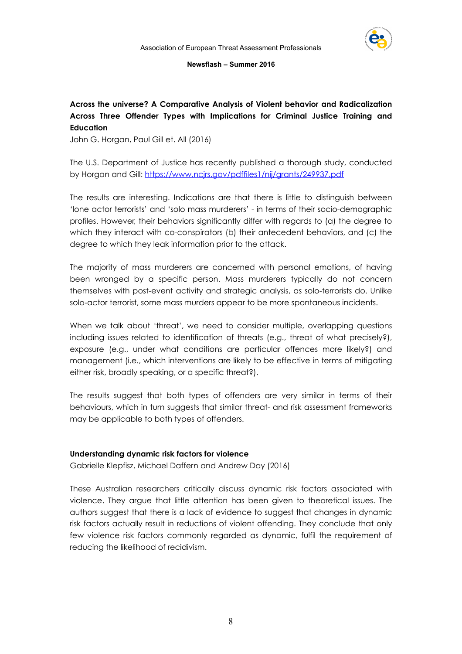

## **Across the universe? A Comparative Analysis of Violent behavior and Radicalization Across Three Offender Types with Implications for Criminal Justice Training and Education**

John G. Horgan, Paul Gill et. All (2016)

The U.S. Department of Justice has recently published a thorough study, conducted by Horgan and Gill: <https://www.ncjrs.gov/pdffiles1/nij/grants/249937.pdf>

The results are interesting. Indications are that there is little to distinguish between 'lone actor terrorists' and 'solo mass murderers' - in terms of their socio-demographic profiles. However, their behaviors significantly differ with regards to (a) the degree to which they interact with co-conspirators (b) their antecedent behaviors, and (c) the degree to which they leak information prior to the attack.

The majority of mass murderers are concerned with personal emotions, of having been wronged by a specific person. Mass murderers typically do not concern themselves with post-event activity and strategic analysis, as solo-terrorists do. Unlike solo-actor terrorist, some mass murders appear to be more spontaneous incidents.

When we talk about 'threat', we need to consider multiple, overlapping questions including issues related to identification of threats (e.g., threat of what precisely?), exposure (e.g., under what conditions are particular offences more likely?) and management (i.e., which interventions are likely to be effective in terms of mitigating either risk, broadly speaking, or a specific threat?).

The results suggest that both types of offenders are very similar in terms of their behaviours, which in turn suggests that similar threat- and risk assessment frameworks may be applicable to both types of offenders.

## **Understanding dynamic risk factors for violence**

Gabrielle Klepfisz, Michael Daffern and Andrew Day (2016)

These Australian researchers critically discuss dynamic risk factors associated with violence. They argue that little attention has been given to theoretical issues. The authors suggest that there is a lack of evidence to suggest that changes in dynamic risk factors actually result in reductions of violent offending. They conclude that only few violence risk factors commonly regarded as dynamic, fulfil the requirement of reducing the likelihood of recidivism.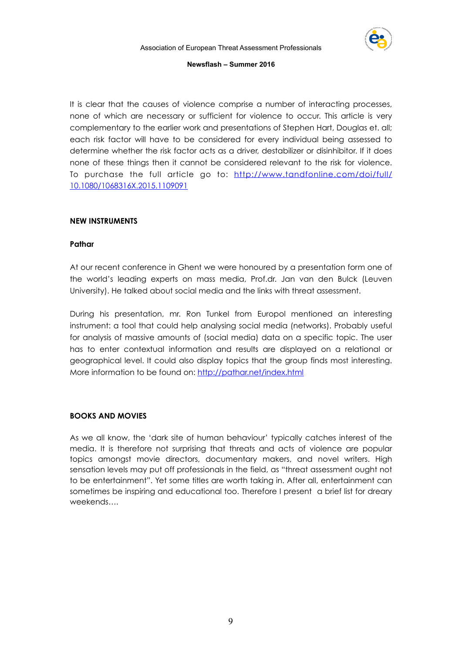

It is clear that the causes of violence comprise a number of interacting processes, none of which are necessary or sufficient for violence to occur. This article is very complementary to the earlier work and presentations of Stephen Hart, Douglas et. all; each risk factor will have to be considered for every individual being assessed to determine whether the risk factor acts as a driver, destabilizer or disinhibitor. If it does none of these things then it cannot be considered relevant to the risk for violence. [To purchase the full article go to: http://www.tandfonline.com/doi/full/](http://www.tandfonline.com/doi/full/10.1080/1068316X.2015.1109091) 10.1080/1068316X.2015.1109091

## **NEW INSTRUMENTS**

## **Pathar**

At our recent conference in Ghent we were honoured by a presentation form one of the world's leading experts on mass media, Prof.dr. Jan van den Bulck (Leuven University). He talked about social media and the links with threat assessment.

During his presentation, mr. Ron Tunkel from Europol mentioned an interesting instrument: a tool that could help analysing social media (networks). Probably useful for analysis of massive amounts of (social media) data on a specific topic. The user has to enter contextual information and results are displayed on a relational or geographical level. It could also display topics that the group finds most interesting. More information to be found on: <http://pathar.net/index.html>

## **BOOKS AND MOVIES**

As we all know, the 'dark site of human behaviour' typically catches interest of the media. It is therefore not surprising that threats and acts of violence are popular topics amongst movie directors, documentary makers, and novel writers. High sensation levels may put off professionals in the field, as "threat assessment ought not to be entertainment". Yet some titles are worth taking in. After all, entertainment can sometimes be inspiring and educational too. Therefore I present a brief list for dreary weekends….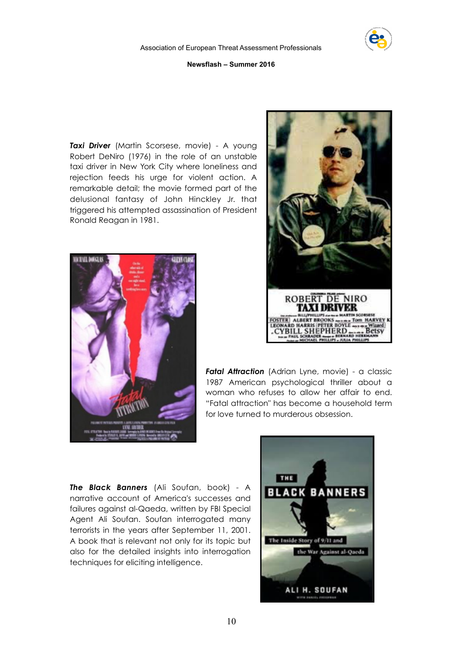

**Taxi Driver** ([Martin Scorsese,](http://www.imdb.com/name/nm0000217?ref_=tt_ov_dr) movie) - A young Robert DeNiro (1976) in the role of an unstable taxi driver in New York City where loneliness and rejection feeds his urge for violent action. A remarkable detail; the movie formed part of the delusional fantasy of John Hinckley Jr. that triggered his [attempted assassination](https://en.wikipedia.org/wiki/Attempted_assassination_of_Ronald_Reagan) of President [Ronald Reagan](https://en.wikipedia.org/wiki/Ronald_Reagan) in 1981.





**Fatal Attraction** (Adrian Lyne, movie) - a classic 1987 American [psychological thriller](https://en.wikipedia.org/wiki/Psychological_thriller) about a woman who refuses to allow her affair to end. "Fatal attraction" has become a household term for love turned to murderous obsession.

*The Black Banners* (Ali Soufan, book) - A narrative account of America's successes and failures against al-Qaeda, written by FBI Special Agent Ali Soufan. Soufan interrogated many terrorists in the years after September 11, 2001. A book that is relevant not only for its topic but also for the detailed insights into interrogation techniques for eliciting intelligence.

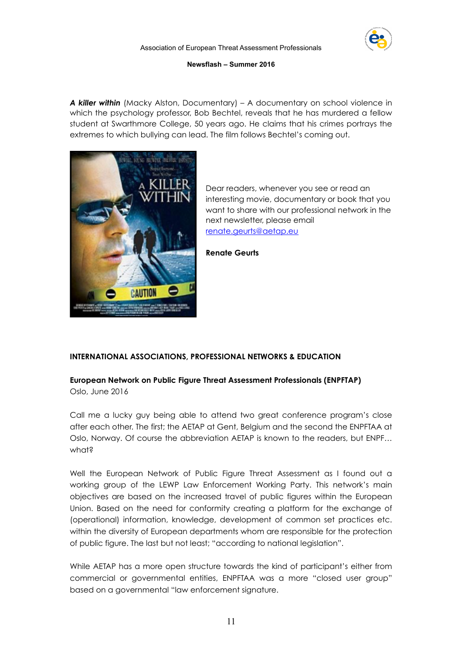

*A killer within* (Macky Alston, Documentary) – A documentary on school violence in which the psychology professor, Bob Bechtel, reveals that he has murdered a fellow student at Swarthmore College, 50 years ago. He claims that his crimes portrays the extremes to which bullying can lead. The film follows Bechtel's coming out.



Dear readers, whenever you see or read an interesting movie, documentary or book that you want to share with our professional network in the next newsletter, please email [renate.geurts@aetap.eu](mailto:renate.geurts@aetap.eu)

**Renate Geurts** 

## **INTERNATIONAL ASSOCIATIONS, PROFESSIONAL NETWORKS & EDUCATION**

# **European Network on Public Figure Threat Assessment Professionals (ENPFTAP)**

Oslo, June 2016

Call me a lucky guy being able to attend two great conference program's close after each other. The first; the AETAP at Gent, Belgium and the second the ENPFTAA at Oslo, Norway. Of course the abbreviation AETAP is known to the readers, but ENPF… what?

Well the European Network of Public Figure Threat Assessment as I found out a working group of the LEWP Law Enforcement Working Party. This network's main objectives are based on the increased travel of public figures within the European Union. Based on the need for conformity creating a platform for the exchange of (operational) information, knowledge, development of common set practices etc. within the diversity of European departments whom are responsible for the protection of public figure. The last but not least; "according to national legislation".

While AETAP has a more open structure towards the kind of participant's either from commercial or governmental entities, ENPFTAA was a more "closed user group" based on a governmental "law enforcement signature.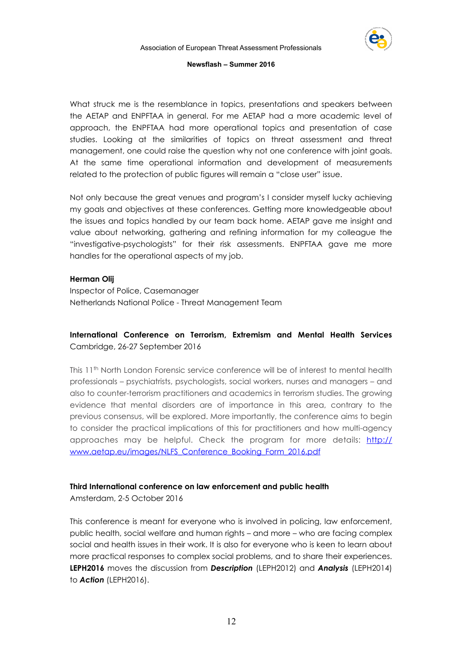

What struck me is the resemblance in topics, presentations and speakers between the AETAP and ENPFTAA in general. For me AETAP had a more academic level of approach, the ENPFTAA had more operational topics and presentation of case studies. Looking at the similarities of topics on threat assessment and threat management, one could raise the question why not one conference with joint goals. At the same time operational information and development of measurements related to the protection of public figures will remain a "close user" issue.

Not only because the great venues and program's I consider myself lucky achieving my goals and objectives at these conferences. Getting more knowledgeable about the issues and topics handled by our team back home. AETAP gave me insight and value about networking, gathering and refining information for my colleague the "investigative-psychologists" for their risk assessments. ENPFTAA gave me more handles for the operational aspects of my job.

## **Herman Olij**

Inspector of Police, Casemanager Netherlands National Police - Threat Management Team

## **International Conference on Terrorism, Extremism and Mental Health Services**  Cambridge, 26-27 September 2016

This 11th North London Forensic service conference will be of interest to mental health professionals – psychiatrists, psychologists, social workers, nurses and managers – and also to counter-terrorism practitioners and academics in terrorism studies. The growing evidence that mental disorders are of importance in this area, contrary to the previous consensus, will be explored. More importantly, the conference aims to begin to consider the practical implications of this for practitioners and how multi-agency [approaches may be helpful. Check the program for more details: http://](http://www.aetap.eu/images/NLFS_Conference_Booking_Form_2016.pdf) www.aetap.eu/images/NLFS\_Conference\_Booking\_Form\_2016.pdf

## **Third International conference on law enforcement and public health**

Amsterdam, 2-5 October 2016

This conference is meant for everyone who is involved in policing, law enforcement, public health, social welfare and human rights – and more – who are facing complex social and health issues in their work. It is also for everyone who is keen to learn about more practical responses to complex social problems, and to share their experiences. **LEPH2016** moves the discussion from *Description* (LEPH2012) and *Analysis* (LEPH2014) to *Action* (LEPH2016).